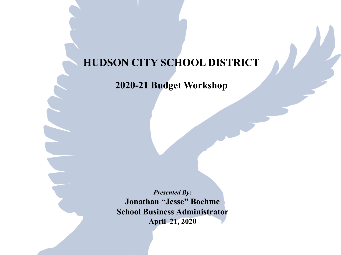### **HUDSON CITY SCHOOL DISTRICT**

**2020-21 Budget Workshop**

*Presented By:* **Jonathan "Jesse" Boehme School Business Administrator April 21, 2020**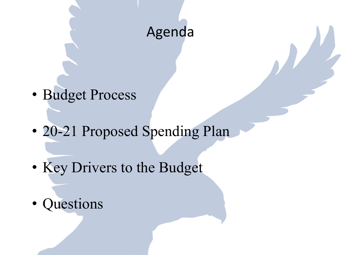# Agenda

- Budget Process
- 20-21 Proposed Spending Plan
- Key Drivers to the Budget
- **Questions**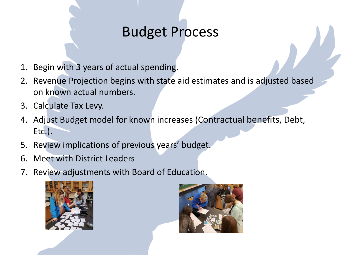# Budget Process

- 1. Begin with 3 years of actual spending.
- 2. Revenue Projection begins with state aid estimates and is adjusted based on known actual numbers.
- 3. Calculate Tax Levy.
- 4. Adjust Budget model for known increases (Contractual benefits, Debt, Etc.).
- 5. Review implications of previous years' budget.
- 6. Meet with District Leaders
- 7. Review adjustments with Board of Education.



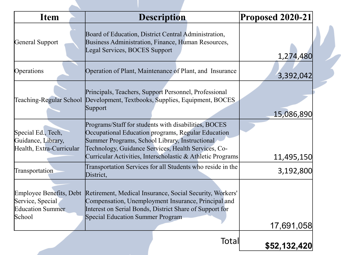| <b>Item</b>                                                                      | <b>Description</b>                                                                                                                                                                                                                                                                | <b>Proposed 2020-21</b> |
|----------------------------------------------------------------------------------|-----------------------------------------------------------------------------------------------------------------------------------------------------------------------------------------------------------------------------------------------------------------------------------|-------------------------|
| General Support                                                                  | Board of Education, District Central Administration,<br>Business Administration, Finance, Human Resources,<br>Legal Services, BOCES Support                                                                                                                                       | 1,274,480               |
| Operations                                                                       | Operation of Plant, Maintenance of Plant, and Insurance                                                                                                                                                                                                                           | 3,392,042               |
|                                                                                  | Principals, Teachers, Support Personnel, Professional<br>Teaching-Regular School Development, Textbooks, Supplies, Equipment, BOCES<br>Support                                                                                                                                    | 15,086,890              |
| Special Ed., Tech,<br>Guidance, Library,<br>Health, Extra-Curricular             | Programs/Staff for students with disabilities, BOCES<br>Occupational Education programs, Regular Education<br>Summer Programs, School Library, Instructional<br>Technology, Guidance Services, Health Services, Co-<br>Curricular Activities, Interscholastic & Athletic Programs | 11,495,150              |
| Transportation                                                                   | Transportation Services for all Students who reside in the<br>District,                                                                                                                                                                                                           | 3,192,800               |
| Employee Benefits, Debt<br>Service, Special<br><b>Education Summer</b><br>School | Retirement, Medical Insurance, Social Security, Workers'<br>Compensation, Unemployment Insurance, Principal and<br>Interest on Serial Bonds, District Share of Support for<br>Special Education Summer Program                                                                    | 17,691,058              |
|                                                                                  | Total                                                                                                                                                                                                                                                                             | \$52,132,420            |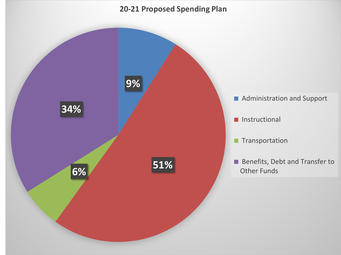#### **20-21 Proposed Spending Plan**

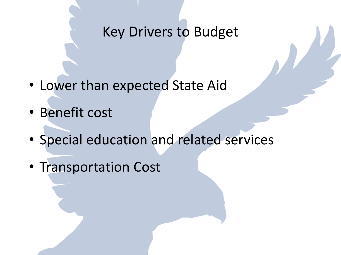## Key Drivers to Budget

- Lower than expected State Aid
- Benefit cost
- Special education and related services
- Transportation Cost